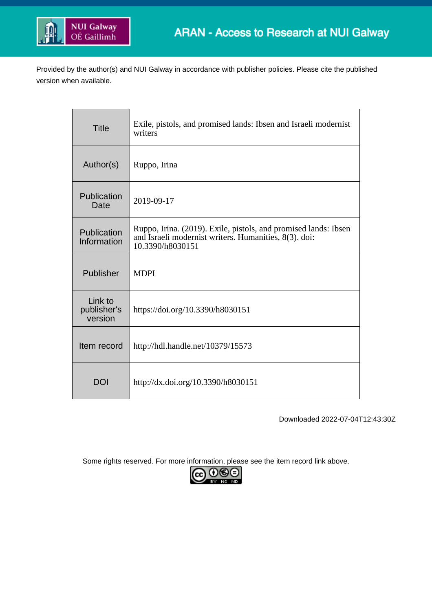

Provided by the author(s) and NUI Galway in accordance with publisher policies. Please cite the published version when available.

| <b>Title</b>                      | Exile, pistols, and promised lands: Ibsen and Israeli modernist<br>writers                                                                   |
|-----------------------------------|----------------------------------------------------------------------------------------------------------------------------------------------|
| Author(s)                         | Ruppo, Irina                                                                                                                                 |
| Publication<br>Date               | 2019-09-17                                                                                                                                   |
| Publication<br>Information        | Ruppo, Irina. (2019). Exile, pistols, and promised lands: Ibsen<br>and Israeli modernist writers. Humanities, 8(3). doi:<br>10.3390/h8030151 |
| Publisher                         | <b>MDPI</b>                                                                                                                                  |
| Link to<br>publisher's<br>version | https://doi.org/10.3390/h8030151                                                                                                             |
| Item record                       | http://hdl.handle.net/10379/15573                                                                                                            |
| <b>DOI</b>                        | http://dx.doi.org/10.3390/h8030151                                                                                                           |

Downloaded 2022-07-04T12:43:30Z

Some rights reserved. For more information, please see the item record link above.

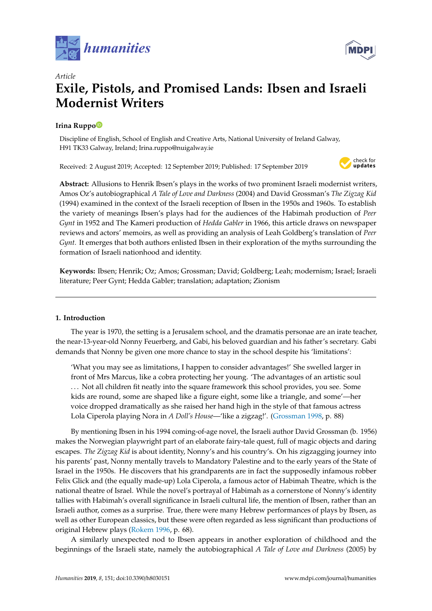



# *Article* **Exile, Pistols, and Promised Lands: Ibsen and Israeli Modernist Writers**

# **Irina Rupp[o](https://orcid.org/0000-0003-4158-7701)**

Discipline of English, School of English and Creative Arts, National University of Ireland Galway, H91 TK33 Galway, Ireland; Irina.ruppo@nuigalway.ie

Received: 2 August 2019; Accepted: 12 September 2019; Published: 17 September 2019



**Abstract:** Allusions to Henrik Ibsen's plays in the works of two prominent Israeli modernist writers, Amos Oz's autobiographical *A Tale of Love and Darkness* (2004) and David Grossman's *The Zigzag Kid* (1994) examined in the context of the Israeli reception of Ibsen in the 1950s and 1960s. To establish the variety of meanings Ibsen's plays had for the audiences of the Habimah production of *Peer Gynt* in 1952 and The Kameri production of *Hedda Gabler* in 1966, this article draws on newspaper reviews and actors' memoirs, as well as providing an analysis of Leah Goldberg's translation of *Peer Gynt.* It emerges that both authors enlisted Ibsen in their exploration of the myths surrounding the formation of Israeli nationhood and identity.

**Keywords:** Ibsen; Henrik; Oz; Amos; Grossman; David; Goldberg; Leah; modernism; Israel; Israeli literature; Peer Gynt; Hedda Gabler; translation; adaptation; Zionism

# **1. Introduction**

The year is 1970, the setting is a Jerusalem school, and the dramatis personae are an irate teacher, the near-13-year-old Nonny Feuerberg, and Gabi, his beloved guardian and his father's secretary. Gabi demands that Nonny be given one more chance to stay in the school despite his 'limitations':

'What you may see as limitations, I happen to consider advantages!' She swelled larger in front of Mrs Marcus, like a cobra protecting her young. 'The advantages of an artistic soul . . . Not all children fit neatly into the square framework this school provides, you see. Some kids are round, some are shaped like a figure eight, some like a triangle, and some'—her voice dropped dramatically as she raised her hand high in the style of that famous actress Lola Ciperola playing Nora in *A Doll's House*—'like a zigzag!'. [\(Grossman](#page-17-0) [1998,](#page-17-0) p. 88)

By mentioning Ibsen in his 1994 coming-of-age novel, the Israeli author David Grossman (b. 1956) makes the Norwegian playwright part of an elaborate fairy-tale quest, full of magic objects and daring escapes. *The Zigzag Kid* is about identity, Nonny's and his country's. On his zigzagging journey into his parents' past, Nonny mentally travels to Mandatory Palestine and to the early years of the State of Israel in the 1950s. He discovers that his grandparents are in fact the supposedly infamous robber Felix Glick and (the equally made-up) Lola Ciperola, a famous actor of Habimah Theatre, which is the national theatre of Israel. While the novel's portrayal of Habimah as a cornerstone of Nonny's identity tallies with Habimah's overall significance in Israeli cultural life, the mention of Ibsen, rather than an Israeli author, comes as a surprise. True, there were many Hebrew performances of plays by Ibsen, as well as other European classics, but these were often regarded as less significant than productions of original Hebrew plays [\(Rokem](#page-17-1) [1996,](#page-17-1) p. 68).

A similarly unexpected nod to Ibsen appears in another exploration of childhood and the beginnings of the Israeli state, namely the autobiographical *A Tale of Love and Darkness* (2005) by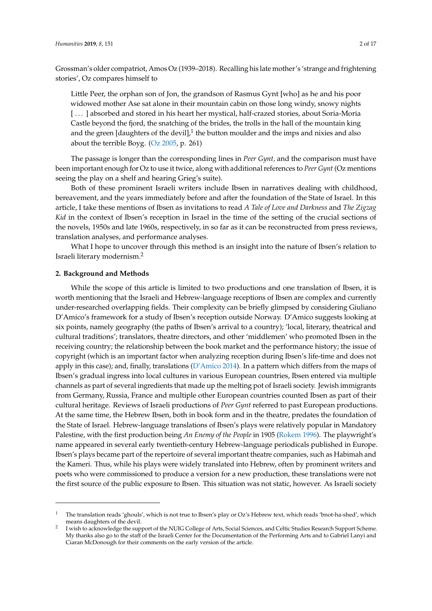Grossman's older compatriot, Amos Oz (1939–2018). Recalling his late mother's 'strange and frightening stories', Oz compares himself to

Little Peer, the orphan son of Jon, the grandson of Rasmus Gynt [who] as he and his poor widowed mother Ase sat alone in their mountain cabin on those long windy, snowy nights [...] absorbed and stored in his heart her mystical, half-crazed stories, about Soria-Moria Castle beyond the fjord, the snatching of the brides, the trolls in the hall of the mountain king and the green [daughters of the devil], $^1$  the button moulder and the imps and nixies and also about the terrible Boyg.  $(Oz 2005, p. 261)$  $(Oz 2005, p. 261)$  $(Oz 2005, p. 261)$  $(Oz 2005, p. 261)$ 

The passage is longer than the corresponding lines in *Peer Gynt,* and the comparison must have been important enough for Oz to use it twice, along with additional references to *Peer Gynt* (Oz mentions seeing the play on a shelf and hearing Grieg's suite).

Both of these prominent Israeli writers include Ibsen in narratives dealing with childhood, bereavement, and the years immediately before and after the foundation of the State of Israel. In this article, I take these mentions of Ibsen as invitations to read *A Tale of Love and Darkness* and *The Zigzag Kid* in the context of Ibsen's reception in Israel in the time of the setting of the crucial sections of the novels, 1950s and late 1960s, respectively, in so far as it can be reconstructed from press reviews, translation analyses, and performance analyses.

What I hope to uncover through this method is an insight into the nature of Ibsen's relation to Israeli literary modernism.<sup>2</sup>

# **2. Background and Methods**

While the scope of this article is limited to two productions and one translation of Ibsen, it is worth mentioning that the Israeli and Hebrew-language receptions of Ibsen are complex and currently under-researched overlapping fields. Their complexity can be briefly glimpsed by considering Giuliano D'Amico's framework for a study of Ibsen's reception outside Norway. D'Amico suggests looking at six points, namely geography (the paths of Ibsen's arrival to a country); 'local, literary, theatrical and cultural traditions'; translators, theatre directors, and other 'middlemen' who promoted Ibsen in the receiving country; the relationship between the book market and the performance history; the issue of copyright (which is an important factor when analyzing reception during Ibsen's life-time and does not apply in this case); and, finally, translations ( $D'Amico 2014$ ). In a pattern which differs from the maps of Ibsen's gradual ingress into local cultures in various European countries, Ibsen entered via multiple channels as part of several ingredients that made up the melting pot of Israeli society. Jewish immigrants from Germany, Russia, France and multiple other European countries counted Ibsen as part of their cultural heritage. Reviews of Israeli productions of *Peer Gynt* referred to past European productions. At the same time, the Hebrew Ibsen, both in book form and in the theatre, predates the foundation of the State of Israel. Hebrew-language translations of Ibsen's plays were relatively popular in Mandatory Palestine, with the first production being *An Enemy of the People* in 1905 [\(Rokem](#page-17-1) [1996\)](#page-17-1). The playwright's name appeared in several early twentieth-century Hebrew-language periodicals published in Europe. Ibsen's plays became part of the repertoire of several important theatre companies, such as Habimah and the Kameri. Thus, while his plays were widely translated into Hebrew, often by prominent writers and poets who were commissioned to produce a version for a new production, these translations were not the first source of the public exposure to Ibsen. This situation was not static, however. As Israeli society

<sup>1</sup> The translation reads 'ghouls', which is not true to Ibsen's play or Oz's Hebrew text, which reads 'bnot-ha-shed', which means daughters of the devil.

<sup>2</sup> I wish to acknowledge the support of the NUIG College of Arts, Social Sciences, and Celtic Studies Research Support Scheme. My thanks also go to the staff of the Israeli Center for the Documentation of the Performing Arts and to Gabriel Lanyi and Ciaran McDonough for their comments on the early version of the article.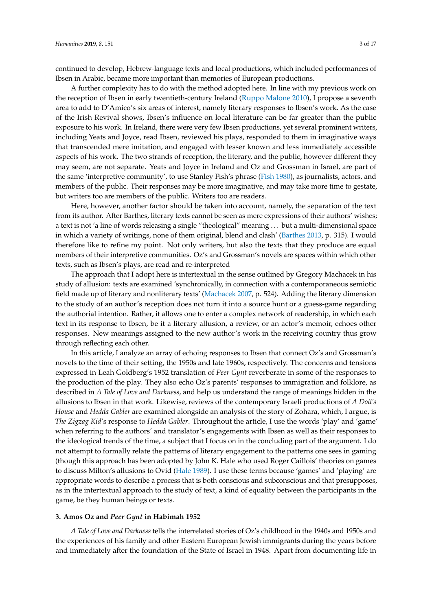continued to develop, Hebrew-language texts and local productions, which included performances of Ibsen in Arabic, became more important than memories of European productions.

A further complexity has to do with the method adopted here. In line with my previous work on the reception of Ibsen in early twentieth-century Ireland [\(Ruppo Malone](#page-17-3) [2010\)](#page-17-3), I propose a seventh area to add to D'Amico's six areas of interest, namely literary responses to Ibsen's work. As the case of the Irish Revival shows, Ibsen's influence on local literature can be far greater than the public exposure to his work. In Ireland, there were very few Ibsen productions, yet several prominent writers, including Yeats and Joyce, read Ibsen, reviewed his plays, responded to them in imaginative ways that transcended mere imitation, and engaged with lesser known and less immediately accessible aspects of his work. The two strands of reception, the literary, and the public, however different they may seem, are not separate. Yeats and Joyce in Ireland and Oz and Grossman in Israel, are part of the same 'interpretive community', to use Stanley Fish's phrase [\(Fish](#page-16-1) [1980\)](#page-16-1), as journalists, actors, and members of the public. Their responses may be more imaginative, and may take more time to gestate, but writers too are members of the public. Writers too are readers.

Here, however, another factor should be taken into account, namely, the separation of the text from its author. After Barthes, literary texts cannot be seen as mere expressions of their authors' wishes; a text is not 'a line of words releasing a single "theological" meaning . . . but a multi-dimensional space in which a variety of writings, none of them original, blend and clash' [\(Barthes](#page-16-2) [2013,](#page-16-2) p. 315). I would therefore like to refine my point. Not only writers, but also the texts that they produce are equal members of their interpretive communities. Oz's and Grossman's novels are spaces within which other texts, such as Ibsen's plays, are read and re-interpreted

The approach that I adopt here is intertextual in the sense outlined by Gregory Machacek in his study of allusion: texts are examined 'synchronically, in connection with a contemporaneous semiotic field made up of literary and nonliterary texts' [\(Machacek](#page-17-4) [2007,](#page-17-4) p. 524). Adding the literary dimension to the study of an author's reception does not turn it into a source hunt or a guess-game regarding the authorial intention. Rather, it allows one to enter a complex network of readership, in which each text in its response to Ibsen, be it a literary allusion, a review, or an actor's memoir, echoes other responses. New meanings assigned to the new author's work in the receiving country thus grow through reflecting each other.

In this article, I analyze an array of echoing responses to Ibsen that connect Oz's and Grossman's novels to the time of their setting, the 1950s and late 1960s, respectively. The concerns and tensions expressed in Leah Goldberg's 1952 translation of *Peer Gynt* reverberate in some of the responses to the production of the play. They also echo Oz's parents' responses to immigration and folklore, as described in *A Tale of Love and Darkness*, and help us understand the range of meanings hidden in the allusions to Ibsen in that work. Likewise, reviews of the contemporary Israeli productions of *A Doll's House* and *Hedda Gabler* are examined alongside an analysis of the story of Zohara, which, I argue, is *The Zigzag Kid*'s response to *Hedda Gabler*. Throughout the article, I use the words 'play' and 'game' when referring to the authors' and translator's engagements with Ibsen as well as their responses to the ideological trends of the time, a subject that I focus on in the concluding part of the argument. I do not attempt to formally relate the patterns of literary engagement to the patterns one sees in gaming (though this approach has been adopted by John K. Hale who used Roger Caillois' theories on games to discuss Milton's allusions to Ovid [\(Hale](#page-17-5) [1989\)](#page-17-5). I use these terms because 'games' and 'playing' are appropriate words to describe a process that is both conscious and subconscious and that presupposes, as in the intertextual approach to the study of text, a kind of equality between the participants in the game, be they human beings or texts.

#### **3. Amos Oz and** *Peer Gynt* **in Habimah 1952**

*A Tale of Love and Darkness* tells the interrelated stories of Oz's childhood in the 1940s and 1950s and the experiences of his family and other Eastern European Jewish immigrants during the years before and immediately after the foundation of the State of Israel in 1948. Apart from documenting life in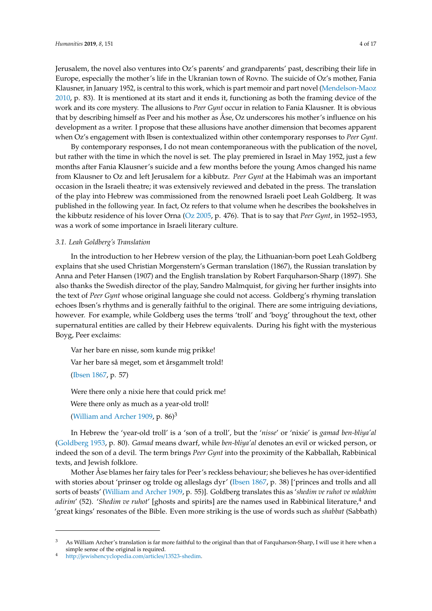Jerusalem, the novel also ventures into Oz's parents' and grandparents' past, describing their life in Europe, especially the mother's life in the Ukranian town of Rovno. The suicide of Oz's mother, Fania Klausner, in January 1952, is central to this work, which is part memoir and part novel [\(Mendelson-Maoz](#page-17-6) [2010,](#page-17-6) p. 83). It is mentioned at its start and it ends it, functioning as both the framing device of the work and its core mystery. The allusions to *Peer Gynt* occur in relation to Fania Klausner. It is obvious that by describing himself as Peer and his mother as Åse, Oz underscores his mother's influence on his development as a writer. I propose that these allusions have another dimension that becomes apparent when Oz's engagement with Ibsen is contextualized within other contemporary responses to *Peer Gynt*.

By contemporary responses, I do not mean contemporaneous with the publication of the novel, but rather with the time in which the novel is set. The play premiered in Israel in May 1952, just a few months after Fania Klausner's suicide and a few months before the young Amos changed his name from Klausner to Oz and left Jerusalem for a kibbutz. *Peer Gynt* at the Habimah was an important occasion in the Israeli theatre; it was extensively reviewed and debated in the press. The translation of the play into Hebrew was commissioned from the renowned Israeli poet Leah Goldberg. It was published in the following year. In fact, Oz refers to that volume when he describes the bookshelves in the kibbutz residence of his lover Orna [\(Oz](#page-17-2) [2005,](#page-17-2) p. 476). That is to say that *Peer Gynt*, in 1952–1953, was a work of some importance in Israeli literary culture.

# *3.1. Leah Goldberg's Translation*

In the introduction to her Hebrew version of the play, the Lithuanian-born poet Leah Goldberg explains that she used Christian Morgenstern's German translation (1867), the Russian translation by Anna and Peter Hansen (1907) and the English translation by Robert Farquharson-Sharp (1897). She also thanks the Swedish director of the play, Sandro Malmquist, for giving her further insights into the text of *Peer Gynt* whose original language she could not access. Goldberg's rhyming translation echoes Ibsen's rhythms and is generally faithful to the original. There are some intriguing deviations, however. For example, while Goldberg uses the terms 'troll' and 'boyg' throughout the text, other supernatural entities are called by their Hebrew equivalents. During his fight with the mysterious Boyg, Peer exclaims:

Var her bare en nisse, som kunde mig prikke!

Var her bare så meget, som et årsgammelt trold!

[\(Ibsen](#page-17-7) [1867,](#page-17-7) p. 57)

Were there only a nixie here that could prick me!

Were there only as much as a year-old troll!

[\(William and Archer](#page-16-3) [1909,](#page-16-3) p. 86)<sup>3</sup>

In Hebrew the 'year-old troll' is a 'son of a troll', but the '*nisse*' or 'nixie' is *gamad ben-bliya'al* [\(Goldberg](#page-17-8) [1953,](#page-17-8) p. 80). *Gamad* means dwarf, while *ben-bliya'al* denotes an evil or wicked person, or indeed the son of a devil. The term brings *Peer Gynt* into the proximity of the Kabballah, Rabbinical texts, and Jewish folklore.

Mother Åse blames her fairy tales for Peer's reckless behaviour; she believes he has over-identified with stories about 'prinser og trolde og alleslags dyr' [\(Ibsen](#page-17-7) [1867,](#page-17-7) p. 38) ['princes and trolls and all sorts of beasts' [\(William and Archer](#page-16-3) [1909,](#page-16-3) p. 55)]. Goldberg translates this as '*shedim ve ruhot ve mlakhim adirim'* (52). '*Shedim ve ruhot'* [ghosts and spirits] are the names used in Rabbinical literature,<sup>4</sup> and 'great kings' resonates of the Bible. Even more striking is the use of words such as *shabbat* (Sabbath)

 $3$  As William Archer's translation is far more faithful to the original than that of Farquharson-Sharp, I will use it here when a simple sense of the original is required.

<sup>4</sup> http://[jewishencyclopedia.com](http://jewishencyclopedia.com/articles/13523-shedim)/articles/13523-shedim.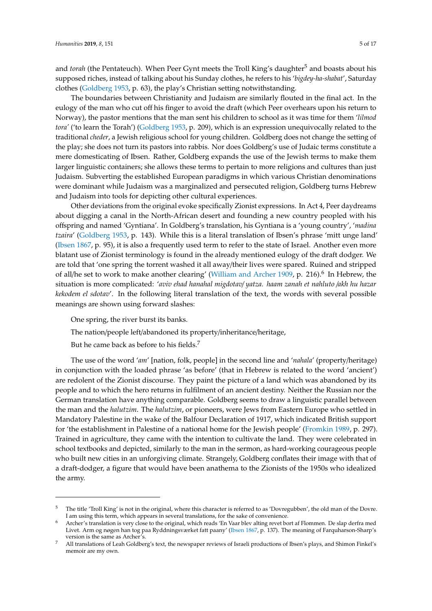and *torah* (the Pentateuch). When Peer Gynt meets the Troll King's daughter<sup>5</sup> and boasts about his supposed riches, instead of talking about his Sunday clothes, he refers to his '*bigdey-ha-shabat*', Saturday clothes [\(Goldberg](#page-17-8) [1953,](#page-17-8) p. 63), the play's Christian setting notwithstanding.

The boundaries between Christianity and Judaism are similarly flouted in the final act. In the eulogy of the man who cut off his finger to avoid the draft (which Peer overhears upon his return to Norway), the pastor mentions that the man sent his children to school as it was time for them '*lilmod tora'* ('to learn the Torah') [\(Goldberg](#page-17-8) [1953,](#page-17-8) p. 209), which is an expression unequivocally related to the traditional *cheder*, a Jewish religious school for young children. Goldberg does not change the setting of the play; she does not turn its pastors into rabbis. Nor does Goldberg's use of Judaic terms constitute a mere domesticating of Ibsen. Rather, Goldberg expands the use of the Jewish terms to make them larger linguistic containers; she allows these terms to pertain to more religions and cultures than just Judaism. Subverting the established European paradigms in which various Christian denominations were dominant while Judaism was a marginalized and persecuted religion, Goldberg turns Hebrew and Judaism into tools for depicting other cultural experiences.

Other deviations from the original evoke specifically Zionist expressions. In Act 4, Peer daydreams about digging a canal in the North-African desert and founding a new country peopled with his offspring and named 'Gyntiana'. In Goldberg's translation, his Gyntiana is a 'young country', '*madina tzaira*' [\(Goldberg](#page-17-8) [1953,](#page-17-8) p. 143). While this is a literal translation of Ibsen's phrase 'mitt unge land' [\(Ibsen](#page-17-7) [1867,](#page-17-7) p. 95), it is also a frequently used term to refer to the state of Israel. Another even more blatant use of Zionist terminology is found in the already mentioned eulogy of the draft dodger. We are told that 'one spring the torrent washed it all away/their lives were spared. Ruined and stripped of all/he set to work to make another clearing' [\(William and Archer](#page-16-3) [1909,](#page-16-3) p. 216).<sup>6</sup> In Hebrew, the situation is more complicated: '*aviv ehad hanahal migdotav*/ *yatza. haam zanah et nahluto* /*akh hu hazar kekodem el sdotav*'. In the following literal translation of the text, the words with several possible meanings are shown using forward slashes:

One spring, the river burst its banks.

The nation/people left/abandoned its property/inheritance/heritage,

But he came back as before to his fields.<sup>7</sup>

The use of the word '*am*' [nation, folk, people] in the second line and '*nahala*' (property/heritage) in conjunction with the loaded phrase 'as before' (that in Hebrew is related to the word 'ancient') are redolent of the Zionist discourse. They paint the picture of a land which was abandoned by its people and to which the hero returns in fulfilment of an ancient destiny. Neither the Russian nor the German translation have anything comparable. Goldberg seems to draw a linguistic parallel between the man and the *halutzim*. The *halutzim*, or pioneers, were Jews from Eastern Europe who settled in Mandatory Palestine in the wake of the Balfour Declaration of 1917, which indicated British support for 'the establishment in Palestine of a national home for the Jewish people' [\(Fromkin](#page-16-4) [1989,](#page-16-4) p. 297). Trained in agriculture, they came with the intention to cultivate the land. They were celebrated in school textbooks and depicted, similarly to the man in the sermon, as hard-working courageous people who built new cities in an unforgiving climate. Strangely, Goldberg conflates their image with that of a draft-dodger, a figure that would have been anathema to the Zionists of the 1950s who idealized the army.

<sup>5</sup> The title 'Troll King' is not in the original, where this character is referred to as 'Dovregubben', the old man of the Dovre. I am using this term, which appears in several translations, for the sake of convenience.

<sup>6</sup> Archer's translation is very close to the original, which reads 'En Vaar blev alting revet bort af Flommen. De slap derfra med Livet. Arm og nøgen han tog paa Ryddningsværket fatt paany' [\(Ibsen](#page-17-7) [1867,](#page-17-7) p. 137). The meaning of Farquharson-Sharp's version is the same as Archer's.

<sup>7</sup> All translations of Leah Goldberg's text, the newspaper reviews of Israeli productions of Ibsen's plays, and Shimon Finkel's memoir are my own.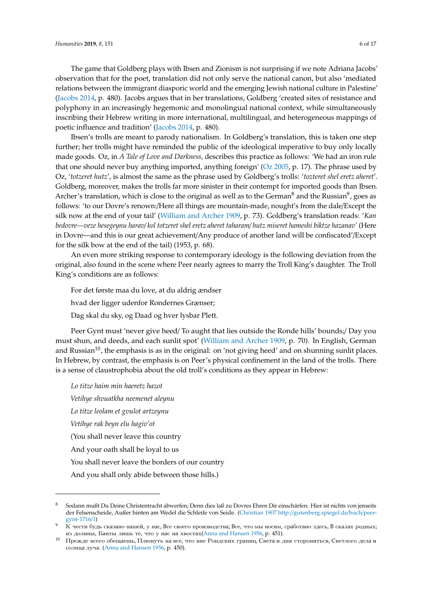The game that Goldberg plays with Ibsen and Zionism is not surprising if we note Adriana Jacobs' observation that for the poet, translation did not only serve the national canon, but also 'mediated relations between the immigrant diasporic world and the emerging Jewish national culture in Palestine' [\(Jacobs](#page-17-9) [2014,](#page-17-9) p. 480). Jacobs argues that in her translations, Goldberg 'created sites of resistance and polyphony in an increasingly hegemonic and monolingual national context, while simultaneously inscribing their Hebrew writing in more international, multilingual, and heterogeneous mappings of poetic influence and tradition' [\(Jacobs](#page-17-9) [2014,](#page-17-9) p. 480).

Ibsen's trolls are meant to parody nationalism. In Goldberg's translation, this is taken one step further; her trolls might have reminded the public of the ideological imperative to buy only locally made goods. Oz, in *A Tale of Love and Darkness,* describes this practice as follows: 'We had an iron rule that one should never buy anything imported, anything foreign' ( $Oz$  [2005,](#page-17-2) p. 17). The phrase used by Oz, '*totzeret hutz*', is almost the same as the phrase used by Goldberg's trolls: '*tozteret shel eretz aheret*'. Goldberg, moreover, makes the trolls far more sinister in their contempt for imported goods than Ibsen. Archer's translation, which is close to the original as well as to the German $^8$  and the Russian $^9$ , goes as follows: 'to our Dovre's renown:/Here all things are mountain-made, nought's from the dale/Except the silk now at the end of your tail' [\(William and Archer](#page-16-3) [1909,](#page-16-3) p. 73). Goldberg's translation reads: '*Kan bedovre—veze hesegeynu harav*/ *kol totzeret shel eretz aheret taharam*/ *hutz miseret hameshi biktze hazanav'* (Here in Dovre—and this is our great achievement/Any produce of another land will be confiscated'/Except for the silk bow at the end of the tail) (1953, p. 68).

An even more striking response to contemporary ideology is the following deviation from the original, also found in the scene where Peer nearly agrees to marry the Troll King's daughter. The Troll King's conditions are as follows:

For det første maa du love, at du aldrig ændser hvad der ligger udenfor Rondernes Grænser; Dag skal du sky, og Daad og hver lysbar Plett.

Peer Gynt must 'never give heed/ To aught that lies outside the Ronde hills' bounds;/ Day you must shun, and deeds, and each sunlit spot' [\(William and Archer](#page-16-3) [1909,](#page-16-3) p. 70). In English, German and Russian<sup>10</sup>, the emphasis is as in the original: on 'not giving heed' and on shunning sunlit places. In Hebrew, by contrast, the emphasis is on Peer's physical confinement in the land of the trolls. There is a sense of claustrophobia about the old troll's conditions as they appear in Hebrew:

*Lo titze haim min haeretz hazot Vetihye shvuatkha neemenet aleynu Lo titze leolam et gvulot artzeynu Vetihye rak beyn elu hagiv'ot* (You shall never leave this country And your oath shall be loyal to us You shall never leave the borders of our country And you shall only abide between those hills.)

<sup>8</sup> Sodann mußt Du Deine Christentracht abwerfen; Denn dies laß zu Dovres Ehren Dir einschärfen: Hier ist nichts von jenseits der Felsenscheide, Außer hinten am Wedel die Schleife von Seide. [\(Christian](#page-17-10) [1907](#page-17-10) http://[gutenberg.spiegel.de](http://gutenberg.spiegel.de/buch/peer-gynt-1716/1)/buch/peer[gynt-1716](http://gutenberg.spiegel.de/buch/peer-gynt-1716/1)/1)

<sup>9</sup> К чести будь скaзaно нaшей, у нaс, Bсе своего производствa; Bсе, что мы носим, срaботaно здесь, B скaлaх родных; из долины, Бaнты лишь те, что у нaс нa хвостaх[\(Anna and Hansen](#page-17-11) [1956,](#page-17-11) p. 451).

<sup>10</sup> Πрежде всего обещaешь, Πлюнуть нa все, что вне Рондских грaниц, Cветa и дня сторониться, Cветлого делa и солнцa лучa. [\(Anna and Hansen](#page-17-11) [1956,](#page-17-11) p. 450).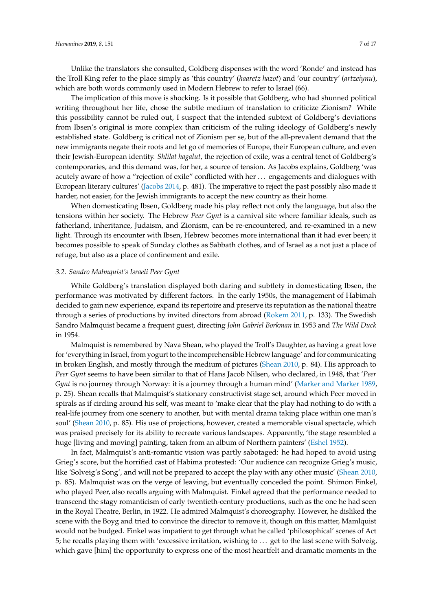The implication of this move is shocking. Is it possible that Goldberg, who had shunned political writing throughout her life, chose the subtle medium of translation to criticize Zionism? While this possibility cannot be ruled out, I suspect that the intended subtext of Goldberg's deviations from Ibsen's original is more complex than criticism of the ruling ideology of Goldberg's newly established state. Goldberg is critical not of Zionism per se, but of the all-prevalent demand that the new immigrants negate their roots and let go of memories of Europe, their European culture, and even their Jewish-European identity. *Shlilat hagalut*, the rejection of exile, was a central tenet of Goldberg's contemporaries, and this demand was, for her, a source of tension. As Jacobs explains, Goldberg 'was acutely aware of how a "rejection of exile" conflicted with her . . . engagements and dialogues with European literary cultures' [\(Jacobs](#page-17-9) [2014,](#page-17-9) p. 481). The imperative to reject the past possibly also made it harder, not easier, for the Jewish immigrants to accept the new country as their home.

When domesticating Ibsen, Goldberg made his play reflect not only the language, but also the tensions within her society. The Hebrew *Peer Gynt* is a carnival site where familiar ideals, such as fatherland, inheritance, Judaism, and Zionism, can be re-encountered, and re-examined in a new light. Through its encounter with Ibsen, Hebrew becomes more international than it had ever been; it becomes possible to speak of Sunday clothes as Sabbath clothes, and of Israel as a not just a place of refuge, but also as a place of confinement and exile.

#### *3.2. Sandro Malmquist's Israeli Peer Gynt*

While Goldberg's translation displayed both daring and subtlety in domesticating Ibsen, the performance was motivated by different factors. In the early 1950s, the management of Habimah decided to gain new experience, expand its repertoire and preserve its reputation as the national theatre through a series of productions by invited directors from abroad [\(Rokem](#page-17-12) [2011,](#page-17-12) p. 133). The Swedish Sandro Malmquist became a frequent guest, directing *John Gabriel Borkman* in 1953 and *The Wild Duck* in 1954.

Malmquist is remembered by Nava Shean, who played the Troll's Daughter, as having a great love for 'everything in Israel, from yogurt to the incomprehensible Hebrew language' and for communicating in broken English, and mostly through the medium of pictures [\(Shean](#page-17-13) [2010,](#page-17-13) p. 84). His approach to *Peer Gynt* seems to have been similar to that of Hans Jacob Nilsen, who declared, in 1948, that '*Peer Gynt* is no journey through Norway: it is a journey through a human mind' [\(Marker and Marker](#page-17-14) [1989,](#page-17-14) p. 25). Shean recalls that Malmquist's stationary constructivist stage set, around which Peer moved in spirals as if circling around his self, was meant to 'make clear that the play had nothing to do with a real-life journey from one scenery to another, but with mental drama taking place within one man's soul' [\(Shean](#page-17-13) [2010,](#page-17-13) p. 85). His use of projections, however, created a memorable visual spectacle, which was praised precisely for its ability to recreate various landscapes. Apparently, 'the stage resembled a huge [living and moving] painting, taken from an album of Northern painters' [\(Eshel](#page-16-5) [1952\)](#page-16-5).

In fact, Malmquist's anti-romantic vision was partly sabotaged: he had hoped to avoid using Grieg's score, but the horrified cast of Habima protested: 'Our audience can recognize Grieg's music, like 'Solveig's Song', and will not be prepared to accept the play with any other music' [\(Shean](#page-17-13) [2010,](#page-17-13) p. 85). Malmquist was on the verge of leaving, but eventually conceded the point. Shimon Finkel, who played Peer, also recalls arguing with Malmquist. Finkel agreed that the performance needed to transcend the stagy romanticism of early twentieth-century productions, such as the one he had seen in the Royal Theatre, Berlin, in 1922. He admired Malmquist's choreography. However, he disliked the scene with the Boyg and tried to convince the director to remove it, though on this matter, Mamlquist would not be budged. Finkel was impatient to get through what he called 'philosophical' scenes of Act 5; he recalls playing them with 'excessive irritation, wishing to . . . get to the last scene with Solveig, which gave [him] the opportunity to express one of the most heartfelt and dramatic moments in the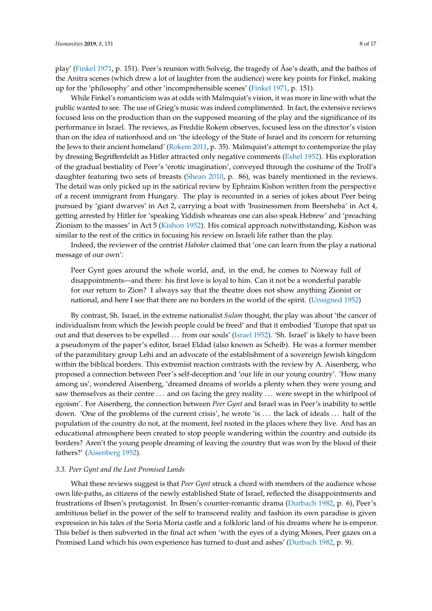play' [\(Finkel](#page-16-6) [1971,](#page-16-6) p. 151). Peer's reunion with Solveig, the tragedy of Åse's death, and the bathos of the Anitra scenes (which drew a lot of laughter from the audience) were key points for Finkel, making up for the 'philosophy' and other 'incomprehensible scenes' [\(Finkel](#page-16-6) [1971,](#page-16-6) p. 151).

While Finkel's romanticism was at odds with Malmquist's vision, it was more in line with what the public wanted to see. The use of Grieg's music was indeed complimented. In fact, the extensive reviews focused less on the production than on the supposed meaning of the play and the significance of its performance in Israel. The reviews, as Freddie Rokem observes, focused less on the director's vision than on the idea of nationhood and on 'the ideology of the State of Israel and its concern for returning the Jews to their ancient homeland' [\(Rokem](#page-17-12) [2011,](#page-17-12) p. 35). Malmquist's attempt to contemporize the play by dressing Begriffenfeldt as Hitler attracted only negative comments [\(Eshel](#page-16-5) [1952\)](#page-16-5). His exploration of the gradual bestiality of Peer's 'erotic imagination', conveyed through the costume of the Troll's daughter featuring two sets of breasts [\(Shean](#page-17-13) [2010,](#page-17-13) p. 86), was barely mentioned in the reviews. The detail was only picked up in the satirical review by Ephraim Kishon written from the perspective of a recent immigrant from Hungary. The play is recounted in a series of jokes about Peer being pursued by 'giant dwarves' in Act 2, carrying a boat with 'businessmen from Beersheba' in Act 4, getting arrested by Hitler for 'speaking Yiddish wheareas one can also speak Hebrew' and 'preaching Zionism to the masses' in Act 5 [\(Kishon](#page-17-15) [1952\)](#page-17-15). His comical approach notwithstanding, Kishon was similar to the rest of the critics in focusing his review on Israeli life rather than the play.

Indeed, the reviewer of the centrist *Haboker* claimed that 'one can learn from the play a national message of our own':

Peer Gynt goes around the whole world, and, in the end, he comes to Norway full of disappointments—and there: his first love is loyal to him. Can it not be a wonderful parable for our return to Zion? I always say that the theatre does not show anything Zionist or national, and here I see that there are no borders in the world of the spirit. [\(Unsigned](#page-17-16) [1952\)](#page-17-16)

By contrast, Sh. Israel, in the extreme nationalist *Sulam* thought, the play was about 'the cancer of individualism from which the Jewish people could be freed' and that it embodied 'Europe that spat us out and that deserves to be expelled ... from our souls' [\(Israel](#page-17-17) [1952\)](#page-17-17). 'Sh. Israel' is likely to have been a pseudonym of the paper's editor, Israel Eldad (also known as Scheib). He was a former member of the paramilitary group Lehi and an advocate of the establishment of a sovereign Jewish kingdom within the biblical borders. This extremist reaction contrasts with the review by A. Aisenberg, who proposed a connection between Peer's self-deception and 'our life in our young country'. 'How many among us', wondered Aisenberg, 'dreamed dreams of worlds a plenty when they were young and saw themselves as their centre ... and on facing the grey reality ... were swept in the whirlpool of egoism'. For Aisenberg, the connection between *Peer Gynt* and Israel was in Peer's inability to settle down. 'One of the problems of the current crisis', he wrote 'is . . . the lack of ideals . . . half of the population of the country do not, at the moment, feel rooted in the places where they live. And has an educational atmosphere been created to stop people wandering within the country and outside its borders? Aren't the young people dreaming of leaving the country that was won by the blood of their fathers?' [\(Aisenberg](#page-16-7) [1952\)](#page-16-7).

#### *3.3. Peer Gynt and the Lost Promised Lands*

What these reviews suggest is that *Peer Gynt* struck a chord with members of the audience whose own life-paths, as citizens of the newly established State of Israel, reflected the disappointments and frustrations of Ibsen's protagonist. In Ibsen's counter-romantic drama [\(Durbach](#page-16-8) [1982,](#page-16-8) p. 6), Peer's ambitious belief in the power of the self to transcend reality and fashion its own paradise is given expression in his tales of the Soria Moria castle and a folkloric land of his dreams where he is emperor. This belief is then subverted in the final act when 'with the eyes of a dying Moses, Peer gazes on a Promised Land which his own experience has turned to dust and ashes' [\(Durbach](#page-16-8) [1982,](#page-16-8) p. 9).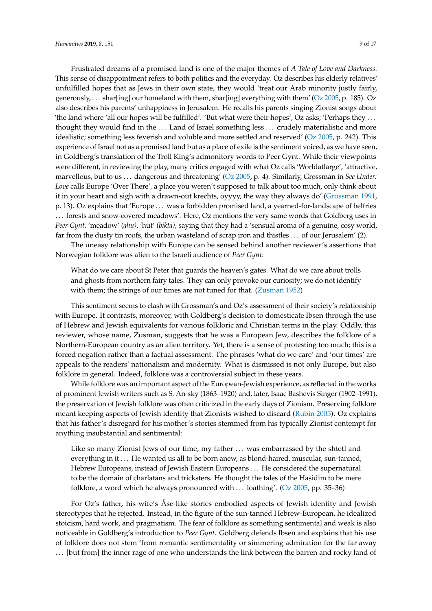Frustrated dreams of a promised land is one of the major themes of *A Tale of Love and Darkness.* This sense of disappointment refers to both politics and the everyday. Oz describes his elderly relatives' unfulfilled hopes that as Jews in their own state, they would 'treat our Arab minority justly fairly, generously, . . . shar[ing] our homeland with them, shar[ing] everything with them' [\(Oz](#page-17-2) [2005,](#page-17-2) p. 185). Oz also describes his parents' unhappiness in Jerusalem. He recalls his parents singing Zionist songs about 'the land where 'all our hopes will be fulfilled'. 'But what were their hopes', Oz asks; 'Perhaps they . . . thought they would find in the . . . Land of Israel something less . . . crudely materialistic and more idealistic; something less feverish and voluble and more settled and reserved' [\(Oz](#page-17-2) [2005,](#page-17-2) p. 242). This experience of Israel not as a promised land but as a place of exile is the sentiment voiced, as we have seen, in Goldberg's translation of the Troll King's admonitory words to Peer Gynt. While their viewpoints were different, in reviewing the play, many critics engaged with what Oz calls 'Worldatlarge', 'attractive, marvellous, but to us . . . dangerous and threatening' [\(Oz](#page-17-2) [2005,](#page-17-2) p. 4). Similarly, Grossman in *See Under: Love* calls Europe 'Over There'*,* a place you weren't supposed to talk about too much, only think about it in your heart and sigh with a drawn-out krechts, oyyyy, the way they always do' [\(Grossman](#page-17-18) [1991,](#page-17-18) p. 13). Oz explains that 'Europe . . . was a forbidden promised land, a yearned-for-landscape of belfries . . . forests and snow-covered meadows'. Here, Oz mentions the very same words that Goldberg uses in *Peer Gynt,* 'meadow' (*ahu)*, 'hut' (*bikta),* saying that they had a 'sensual aroma of a genuine, cosy world, far from the dusty tin roofs, the urban wasteland of scrap iron and thistles ... of our Jerusalem' (2).

The uneasy relationship with Europe can be sensed behind another reviewer's assertions that Norwegian folklore was alien to the Israeli audience of *Peer Gynt*:

What do we care about St Peter that guards the heaven's gates. What do we care about trolls and ghosts from northern fairy tales. They can only provoke our curiosity; we do not identify with them; the strings of our times are not tuned for that. [\(Zusman](#page-17-19) [1952\)](#page-17-19)

This sentiment seems to clash with Grossman's and Oz's assessment of their society's relationship with Europe. It contrasts, moreover, with Goldberg's decision to domesticate Ibsen through the use of Hebrew and Jewish equivalents for various folkloric and Christian terms in the play. Oddly, this reviewer, whose name, Zusman, suggests that he was a European Jew, describes the folklore of a Northern-European country as an alien territory. Yet, there is a sense of protesting too much; this is a forced negation rather than a factual assessment. The phrases 'what do we care' and 'our times' are appeals to the readers' nationalism and modernity. What is dismissed is not only Europe, but also folklore in general. Indeed, folklore was a controversial subject in these years.

While folklore was an important aspect of the European-Jewish experience, as reflected in the works of prominent Jewish writers such as S. An-sky (1863–1920) and, later, Isaac Bashevis Singer (1902–1991), the preservation of Jewish folklore was often criticized in the early days of Zionism. Preserving folklore meant keeping aspects of Jewish identity that Zionists wished to discard [\(Rubin](#page-17-20) [2005\)](#page-17-20). Oz explains that his father's disregard for his mother's stories stemmed from his typically Zionist contempt for anything insubstantial and sentimental:

Like so many Zionist Jews of our time, my father ... was embarrassed by the shtetl and everything in it ... He wanted us all to be born anew, as blond-haired, muscular, sun-tanned, Hebrew Europeans, instead of Jewish Eastern Europeans . . . He considered the supernatural to be the domain of charlatans and tricksters. He thought the tales of the Hasidim to be mere folklore, a word which he always pronounced with . . . loathing'. [\(Oz](#page-17-2) [2005,](#page-17-2) pp. 35–36)

For Oz's father, his wife's Åse-like stories embodied aspects of Jewish identity and Jewish stereotypes that he rejected. Instead, in the figure of the sun-tanned Hebrew-European, he idealized stoicism, hard work, and pragmatism. The fear of folklore as something sentimental and weak is also noticeable in Goldberg's introduction to *Peer Gynt.* Goldberg defends Ibsen and explains that his use of folklore does not stem 'from romantic sentimentality or simmering admiration for the far away . . . [but from] the inner rage of one who understands the link between the barren and rocky land of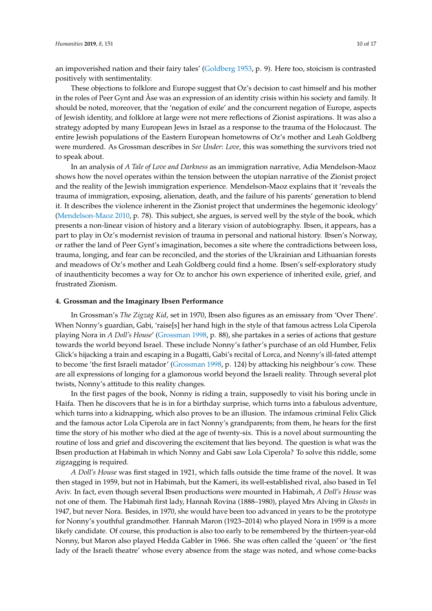an impoverished nation and their fairy tales' [\(Goldberg](#page-17-8) [1953,](#page-17-8) p. 9). Here too, stoicism is contrasted positively with sentimentality.

These objections to folklore and Europe suggest that Oz's decision to cast himself and his mother in the roles of Peer Gynt and Åse was an expression of an identity crisis within his society and family. It should be noted, moreover, that the 'negation of exile' and the concurrent negation of Europe, aspects of Jewish identity, and folklore at large were not mere reflections of Zionist aspirations. It was also a strategy adopted by many European Jews in Israel as a response to the trauma of the Holocaust. The entire Jewish populations of the Eastern European hometowns of Oz's mother and Leah Goldberg were murdered. As Grossman describes in *See Under*: *Love*, this was something the survivors tried not to speak about.

In an analysis of *A Tale of Love and Darkness* as an immigration narrative, Adia Mendelson-Maoz shows how the novel operates within the tension between the utopian narrative of the Zionist project and the reality of the Jewish immigration experience. Mendelson-Maoz explains that it 'reveals the trauma of immigration, exposing, alienation, death, and the failure of his parents' generation to blend it. It describes the violence inherent in the Zionist project that undermines the hegemonic ideology' [\(Mendelson-Maoz](#page-17-6) [2010,](#page-17-6) p. 78). This subject, she argues, is served well by the style of the book, which presents a non-linear vision of history and a literary vision of autobiography. Ibsen, it appears, has a part to play in Oz's modernist revision of trauma in personal and national history. Ibsen's Norway, or rather the land of Peer Gynt's imagination, becomes a site where the contradictions between loss, trauma, longing, and fear can be reconciled, and the stories of the Ukrainian and Lithuanian forests and meadows of Oz's mother and Leah Goldberg could find a home. Ibsen's self-exploratory study of inauthenticity becomes a way for Oz to anchor his own experience of inherited exile, grief, and frustrated Zionism.

# **4. Grossman and the Imaginary Ibsen Performance**

In Grossman's *The Zigzag Kid*, set in 1970, Ibsen also figures as an emissary from 'Over There'. When Nonny's guardian, Gabi, 'raise[s] her hand high in the style of that famous actress Lola Ciperola playing Nora in *A Doll's House*' [\(Grossman](#page-17-0) [1998,](#page-17-0) p. 88), she partakes in a series of actions that gesture towards the world beyond Israel. These include Nonny's father's purchase of an old Humber, Felix Glick's hijacking a train and escaping in a Bugatti, Gabi's recital of Lorca, and Nonny's ill-fated attempt to become 'the first Israeli matador' [\(Grossman](#page-17-0) [1998,](#page-17-0) p. 124) by attacking his neighbour's cow. These are all expressions of longing for a glamorous world beyond the Israeli reality. Through several plot twists, Nonny's attitude to this reality changes.

In the first pages of the book, Nonny is riding a train, supposedly to visit his boring uncle in Haifa. Then he discovers that he is in for a birthday surprise, which turns into a fabulous adventure, which turns into a kidnapping, which also proves to be an illusion. The infamous criminal Felix Glick and the famous actor Lola Ciperola are in fact Nonny's grandparents; from them, he hears for the first time the story of his mother who died at the age of twenty-six. This is a novel about surmounting the routine of loss and grief and discovering the excitement that lies beyond. The question is what was the Ibsen production at Habimah in which Nonny and Gabi saw Lola Ciperola? To solve this riddle, some zigzagging is required.

*A Doll's House* was first staged in 1921, which falls outside the time frame of the novel. It was then staged in 1959, but not in Habimah, but the Kameri, its well-established rival, also based in Tel Aviv. In fact, even though several Ibsen productions were mounted in Habimah, *A Doll's House* was not one of them. The Habimah first lady, Hannah Rovina (1888–1980), played Mrs Alving in *Ghosts* in 1947, but never Nora. Besides, in 1970, she would have been too advanced in years to be the prototype for Nonny's youthful grandmother. Hannah Maron (1923–2014) who played Nora in 1959 is a more likely candidate. Of course, this production is also too early to be remembered by the thirteen-year-old Nonny, but Maron also played Hedda Gabler in 1966. She was often called the 'queen' or 'the first lady of the Israeli theatre' whose every absence from the stage was noted, and whose come-backs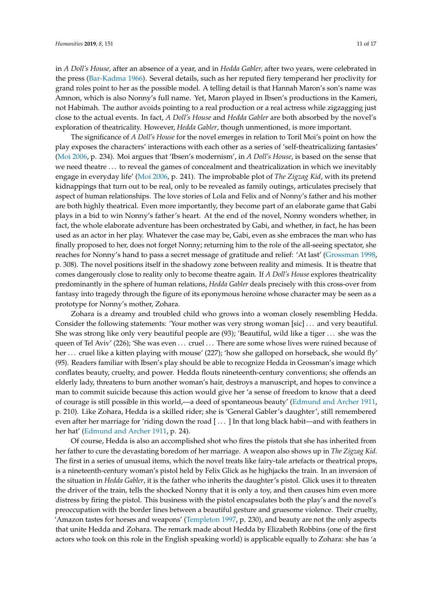in *A Doll's House,* after an absence of a year, and in *Hedda Gabler,* after two years, were celebrated in the press [\(Bar-Kadma](#page-16-9) [1966\)](#page-16-9). Several details, such as her reputed fiery temperand her proclivity for grand roles point to her as the possible model. A telling detail is that Hannah Maron's son's name was Amnon, which is also Nonny's full name. Yet, Maron played in Ibsen's productions in the Kameri, not Habimah. The author avoids pointing to a real production or a real actress while zigzagging just close to the actual events. In fact, *A Doll's House* and *Hedda Gabler* are both absorbed by the novel's exploration of theatricality. However, *Hedda Gabler*, though unmentioned, is more important.

The significance of *A Doll's House* for the novel emerges in relation to Toril Moi's point on how the play exposes the characters' interactions with each other as a series of 'self-theatricalizing fantasies' [\(Moi](#page-17-21) [2006,](#page-17-21) p. 234). Moi argues that 'Ibsen's modernism', in *A Doll's House*, is based on the sense that we need theatre . . . to reveal the games of concealment and theatricalization in which we inevitably engage in everyday life' [\(Moi](#page-17-21) [2006,](#page-17-21) p. 241). The improbable plot of *The Zigzag Kid*, with its pretend kidnappings that turn out to be real, only to be revealed as family outings, articulates precisely that aspect of human relationships. The love stories of Lola and Felix and of Nonny's father and his mother are both highly theatrical. Even more importantly, they become part of an elaborate game that Gabi plays in a bid to win Nonny's father's heart. At the end of the novel, Nonny wonders whether, in fact, the whole elaborate adventure has been orchestrated by Gabi, and whether, in fact, he has been used as an actor in her play. Whatever the case may be, Gabi, even as she embraces the man who has finally proposed to her, does not forget Nonny; returning him to the role of the all-seeing spectator, she reaches for Nonny's hand to pass a secret message of gratitude and relief: 'At last' [\(Grossman](#page-17-0) [1998,](#page-17-0) p. 308). The novel positions itself in the shadowy zone between reality and mimesis. It is theatre that comes dangerously close to reality only to become theatre again. If *A Doll's House* explores theatricality predominantly in the sphere of human relations, *Hedda Gabler* deals precisely with this cross-over from fantasy into tragedy through the figure of its eponymous heroine whose character may be seen as a prototype for Nonny's mother, Zohara.

Zohara is a dreamy and troubled child who grows into a woman closely resembling Hedda. Consider the following statements: 'Your mother was very strong woman [sic] . . . and very beautiful. She was strong like only very beautiful people are (93); 'Beautiful, wild like a tiger . . . she was the queen of Tel Aviv' (226); 'She was even . . . cruel . . . There are some whose lives were ruined because of her ... cruel like a kitten playing with mouse' (227); 'how she galloped on horseback, she would fly' (95). Readers familiar with Ibsen's play should be able to recognize Hedda in Grossman's image which conflates beauty, cruelty, and power. Hedda flouts nineteenth-century conventions; she offends an elderly lady, threatens to burn another woman's hair, destroys a manuscript, and hopes to convince a man to commit suicide because this action would give her 'a sense of freedom to know that a deed of courage is still possible in this world,—a deed of spontaneous beauty' [\(Edmund and Archer](#page-17-22) [1911,](#page-17-22) p. 210). Like Zohara, Hedda is a skilled rider; she is 'General Gabler's daughter', still remembered even after her marriage for 'riding down the road [ . . . ] In that long black habit—and with feathers in her hat' [\(Edmund and Archer](#page-17-22) [1911,](#page-17-22) p. 24).

Of course, Hedda is also an accomplished shot who fires the pistols that she has inherited from her father to cure the devastating boredom of her marriage. A weapon also shows up in *The Zigzag Kid.* The first in a series of unusual items, which the novel treats like fairy-tale artefacts or theatrical props, is a nineteenth-century woman's pistol held by Felix Glick as he highjacks the train. In an inversion of the situation in *Hedda Gabler*, it is the father who inherits the daughter's pistol. Glick uses it to threaten the driver of the train, tells the shocked Nonny that it is only a toy, and then causes him even more distress by firing the pistol. This business with the pistol encapsulates both the play's and the novel's preoccupation with the border lines between a beautiful gesture and gruesome violence. Their cruelty, 'Amazon tastes for horses and weapons' [\(Templeton](#page-17-23) [1997,](#page-17-23) p. 230), and beauty are not the only aspects that unite Hedda and Zohara. The remark made about Hedda by Elizabeth Robbins (one of the first actors who took on this role in the English speaking world) is applicable equally to Zohara: she has 'a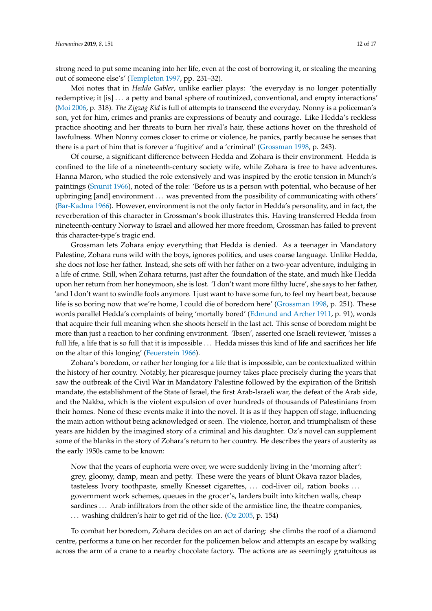strong need to put some meaning into her life, even at the cost of borrowing it, or stealing the meaning out of someone else's' [\(Templeton](#page-17-23) [1997,](#page-17-23) pp. 231–32).

Moi notes that in *Hedda Gabler*, unlike earlier plays: 'the everyday is no longer potentially redemptive; it [is] . . . a petty and banal sphere of routinized, conventional, and empty interactions' [\(Moi](#page-17-21) [2006,](#page-17-21) p. 318). *The Zigzag Kid* is full of attempts to transcend the everyday. Nonny is a policeman's son, yet for him, crimes and pranks are expressions of beauty and courage. Like Hedda's reckless practice shooting and her threats to burn her rival's hair, these actions hover on the threshold of lawfulness. When Nonny comes closer to crime or violence, he panics, partly because he senses that there is a part of him that is forever a 'fugitive' and a 'criminal' [\(Grossman](#page-17-0) [1998,](#page-17-0) p. 243).

Of course, a significant difference between Hedda and Zohara is their environment. Hedda is confined to the life of a nineteenth-century society wife, while Zohara is free to have adventures. Hanna Maron, who studied the role extensively and was inspired by the erotic tension in Munch's paintings [\(Snunit](#page-17-24) [1966\)](#page-17-24), noted of the role: 'Before us is a person with potential, who because of her upbringing [and] environment . . . was prevented from the possibility of communicating with others' [\(Bar-Kadma](#page-16-9) [1966\)](#page-16-9). However, environment is not the only factor in Hedda's personality, and in fact, the reverberation of this character in Grossman's book illustrates this. Having transferred Hedda from nineteenth-century Norway to Israel and allowed her more freedom, Grossman has failed to prevent this character-type's tragic end.

Grossman lets Zohara enjoy everything that Hedda is denied. As a teenager in Mandatory Palestine, Zohara runs wild with the boys, ignores politics, and uses coarse language. Unlike Hedda, she does not lose her father. Instead, she sets off with her father on a two-year adventure, indulging in a life of crime. Still, when Zohara returns, just after the foundation of the state, and much like Hedda upon her return from her honeymoon, she is lost. 'I don't want more filthy lucre', she says to her father, 'and I don't want to swindle fools anymore. I just want to have some fun, to feel my heart beat, because life is so boring now that we're home, I could die of boredom here' [\(Grossman](#page-17-0) [1998,](#page-17-0) p. 251). These words parallel Hedda's complaints of being 'mortally bored' [\(Edmund and Archer](#page-17-22) [1911,](#page-17-22) p. 91), words that acquire their full meaning when she shoots herself in the last act. This sense of boredom might be more than just a reaction to her confining environment. 'Ibsen', asserted one Israeli reviewer, 'misses a full life, a life that is so full that it is impossible ... Hedda misses this kind of life and sacrifices her life on the altar of this longing' [\(Feuerstein](#page-16-10) [1966\)](#page-16-10).

Zohara's boredom, or rather her longing for a life that is impossible, can be contextualized within the history of her country. Notably, her picaresque journey takes place precisely during the years that saw the outbreak of the Civil War in Mandatory Palestine followed by the expiration of the British mandate, the establishment of the State of Israel, the first Arab-Israeli war, the defeat of the Arab side, and the Nakba, which is the violent expulsion of over hundreds of thousands of Palestinians from their homes. None of these events make it into the novel. It is as if they happen off stage, influencing the main action without being acknowledged or seen. The violence, horror, and triumphalism of these years are hidden by the imagined story of a criminal and his daughter. Oz's novel can supplement some of the blanks in the story of Zohara's return to her country. He describes the years of austerity as the early 1950s came to be known:

Now that the years of euphoria were over, we were suddenly living in the 'morning after': grey, gloomy, damp, mean and petty. These were the years of blunt Okava razor blades, tasteless Ivory toothpaste, smelly Knesset cigarettes, ... cod-liver oil, ration books ... government work schemes, queues in the grocer's, larders built into kitchen walls, cheap sardines ... Arab infiltrators from the other side of the armistice line, the theatre companies, . . . washing children's hair to get rid of the lice. [\(Oz](#page-17-2) [2005,](#page-17-2) p. 154)

To combat her boredom, Zohara decides on an act of daring: she climbs the roof of a diamond centre, performs a tune on her recorder for the policemen below and attempts an escape by walking across the arm of a crane to a nearby chocolate factory. The actions are as seemingly gratuitous as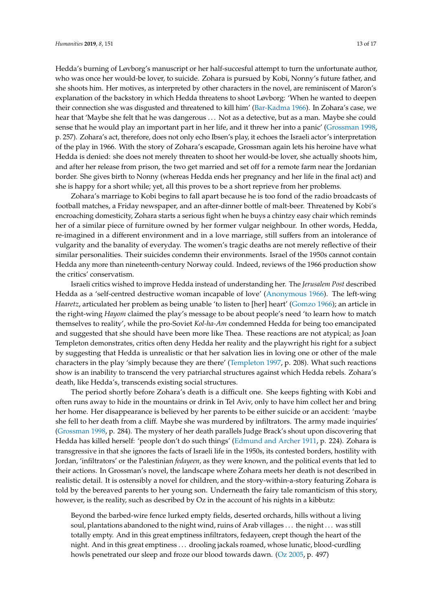Hedda's burning of Løvborg's manuscript or her half-succesful attempt to turn the unfortunate author, who was once her would-be lover, to suicide. Zohara is pursued by Kobi, Nonny's future father, and she shoots him. Her motives, as interpreted by other characters in the novel, are reminiscent of Maron's explanation of the backstory in which Hedda threatens to shoot Løvborg: 'When he wanted to deepen their connection she was disgusted and threatened to kill him' [\(Bar-Kadma](#page-16-9) [1966\)](#page-16-9). In Zohara's case, we hear that 'Maybe she felt that he was dangerous . . . Not as a detective, but as a man. Maybe she could sense that he would play an important part in her life, and it threw her into a panic' [\(Grossman](#page-17-0) [1998,](#page-17-0) p. 257). Zohara's act, therefore, does not only echo Ibsen's play, it echoes the Israeli actor's interpretation of the play in 1966. With the story of Zohara's escapade, Grossman again lets his heroine have what Hedda is denied: she does not merely threaten to shoot her would-be lover, she actually shoots him, and after her release from prison, the two get married and set off for a remote farm near the Jordanian border. She gives birth to Nonny (whereas Hedda ends her pregnancy and her life in the final act) and she is happy for a short while; yet, all this proves to be a short reprieve from her problems.

Zohara's marriage to Kobi begins to fall apart because he is too fond of the radio broadcasts of football matches, a Friday newspaper, and an after-dinner bottle of malt-beer. Threatened by Kobi's encroaching domesticity, Zohara starts a serious fight when he buys a chintzy easy chair which reminds her of a similar piece of furniture owned by her former vulgar neighbour. In other words, Hedda, re-imagined in a different environment and in a love marriage, still suffers from an intolerance of vulgarity and the banality of everyday. The women's tragic deaths are not merely reflective of their similar personalities. Their suicides condemn their environments. Israel of the 1950s cannot contain Hedda any more than nineteenth-century Norway could. Indeed, reviews of the 1966 production show the critics' conservatism.

Israeli critics wished to improve Hedda instead of understanding her. The *Jerusalem Post* described Hedda as a 'self-centred destructive woman incapable of love' [\(Anonymous](#page-16-11) [1966\)](#page-16-11). The left-wing *Haaretz*, articulated her problem as being unable 'to listen to [her] heart' [\(Gomzo](#page-17-25) [1966\)](#page-17-25); an article in the right-wing *Hayom* claimed the play's message to be about people's need 'to learn how to match themselves to reality', while the pro-Soviet *Kol-ha-Am* condemned Hedda for being too emancipated and suggested that she should have been more like Thea. These reactions are not atypical; as Joan Templeton demonstrates, critics often deny Hedda her reality and the playwright his right for a subject by suggesting that Hedda is unrealistic or that her salvation lies in loving one or other of the male characters in the play 'simply because they are there' [\(Templeton](#page-17-23) [1997,](#page-17-23) p. 208). What such reactions show is an inability to transcend the very patriarchal structures against which Hedda rebels. Zohara's death, like Hedda's, transcends existing social structures.

The period shortly before Zohara's death is a difficult one. She keeps fighting with Kobi and often runs away to hide in the mountains or drink in Tel Aviv, only to have him collect her and bring her home. Her disappearance is believed by her parents to be either suicide or an accident: 'maybe she fell to her death from a cliff. Maybe she was murdered by infiltrators. The army made inquiries' [\(Grossman](#page-17-0) [1998,](#page-17-0) p. 284). The mystery of her death parallels Judge Brack's shout upon discovering that Hedda has killed herself: 'people don't do such things' [\(Edmund and Archer](#page-17-22) [1911,](#page-17-22) p. 224). Zohara is transgressive in that she ignores the facts of Israeli life in the 1950s, its contested borders, hostility with Jordan, 'infiltrators' or the Palestinian *fedayeen*, as they were known, and the political events that led to their actions. In Grossman's novel, the landscape where Zohara meets her death is not described in realistic detail. It is ostensibly a novel for children, and the story-within-a-story featuring Zohara is told by the bereaved parents to her young son. Underneath the fairy tale romanticism of this story, however, is the reality, such as described by Oz in the account of his nights in a kibbutz:

Beyond the barbed-wire fence lurked empty fields, deserted orchards, hills without a living soul, plantations abandoned to the night wind, ruins of Arab villages . . . the night . . . was still totally empty. And in this great emptiness infiltrators, fedayeen, crept though the heart of the night. And in this great emptiness . . . drooling jackals roamed, whose lunatic, blood-curdling howls penetrated our sleep and froze our blood towards dawn. [\(Oz](#page-17-2) [2005,](#page-17-2) p. 497)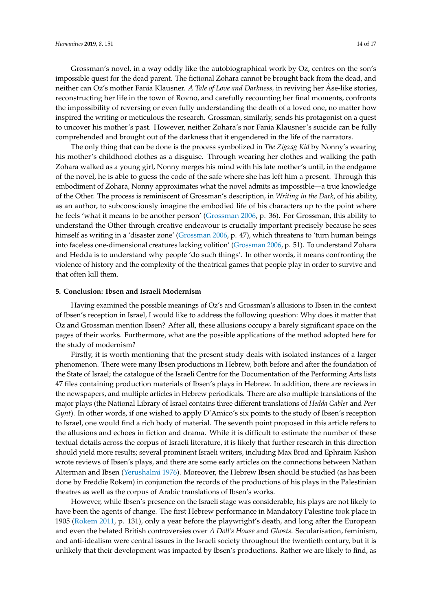Grossman's novel, in a way oddly like the autobiographical work by Oz, centres on the son's impossible quest for the dead parent. The fictional Zohara cannot be brought back from the dead, and neither can Oz's mother Fania Klausner. *A Tale of Love and Darkness,* in reviving her Åse-like stories, reconstructing her life in the town of Rovno, and carefully recounting her final moments, confronts the impossibility of reversing or even fully understanding the death of a loved one, no matter how inspired the writing or meticulous the research. Grossman, similarly, sends his protagonist on a quest to uncover his mother's past. However, neither Zohara's nor Fania Klausner's suicide can be fully comprehended and brought out of the darkness that it engendered in the life of the narrators.

The only thing that can be done is the process symbolized in *The Zigzag Kid* by Nonny's wearing his mother's childhood clothes as a disguise. Through wearing her clothes and walking the path Zohara walked as a young girl, Nonny merges his mind with his late mother's until, in the endgame of the novel, he is able to guess the code of the safe where she has left him a present. Through this embodiment of Zohara, Nonny approximates what the novel admits as impossible—a true knowledge of the Other. The process is reminiscent of Grossman's description, in *Writing in the Dark*, of his ability, as an author, to subconsciously imagine the embodied life of his characters up to the point where he feels 'what it means to be another person' [\(Grossman](#page-17-26) [2006,](#page-17-26) p. 36). For Grossman, this ability to understand the Other through creative endeavour is crucially important precisely because he sees himself as writing in a 'disaster zone' [\(Grossman](#page-17-26) [2006,](#page-17-26) p. 47), which threatens to 'turn human beings into faceless one-dimensional creatures lacking volition' [\(Grossman](#page-17-26) [2006,](#page-17-26) p. 51). To understand Zohara and Hedda is to understand why people 'do such things'. In other words, it means confronting the violence of history and the complexity of the theatrical games that people play in order to survive and that often kill them.

#### **5. Conclusion: Ibsen and Israeli Modernism**

Having examined the possible meanings of Oz's and Grossman's allusions to Ibsen in the context of Ibsen's reception in Israel, I would like to address the following question: Why does it matter that Oz and Grossman mention Ibsen? After all, these allusions occupy a barely significant space on the pages of their works. Furthermore, what are the possible applications of the method adopted here for the study of modernism?

Firstly, it is worth mentioning that the present study deals with isolated instances of a larger phenomenon. There were many Ibsen productions in Hebrew, both before and after the foundation of the State of Israel; the catalogue of the Israeli Centre for the Documentation of the Performing Arts lists 47 files containing production materials of Ibsen's plays in Hebrew. In addition, there are reviews in the newspapers, and multiple articles in Hebrew periodicals. There are also multiple translations of the major plays (the National Library of Israel contains three different translations of *Hedda Gabler* and *Peer Gynt*). In other words, if one wished to apply D'Amico's six points to the study of Ibsen's reception to Israel, one would find a rich body of material. The seventh point proposed in this article refers to the allusions and echoes in fiction and drama. While it is difficult to estimate the number of these textual details across the corpus of Israeli literature, it is likely that further research in this direction should yield more results; several prominent Israeli writers, including Max Brod and Ephraim Kishon wrote reviews of Ibsen's plays, and there are some early articles on the connections between Nathan Alterman and Ibsen [\(Yerushalmi](#page-17-27) [1976\)](#page-17-27). Moreover, the Hebrew Ibsen should be studied (as has been done by Freddie Rokem) in conjunction the records of the productions of his plays in the Palestinian theatres as well as the corpus of Arabic translations of Ibsen's works.

However, while Ibsen's presence on the Israeli stage was considerable, his plays are not likely to have been the agents of change. The first Hebrew performance in Mandatory Palestine took place in 1905 [\(Rokem](#page-17-12) [2011,](#page-17-12) p. 131), only a year before the playwright's death, and long after the European and even the belated British controversies over *A Doll's House* and *Ghosts*. Secularisation, feminism, and anti-idealism were central issues in the Israeli society throughout the twentieth century, but it is unlikely that their development was impacted by Ibsen's productions. Rather we are likely to find, as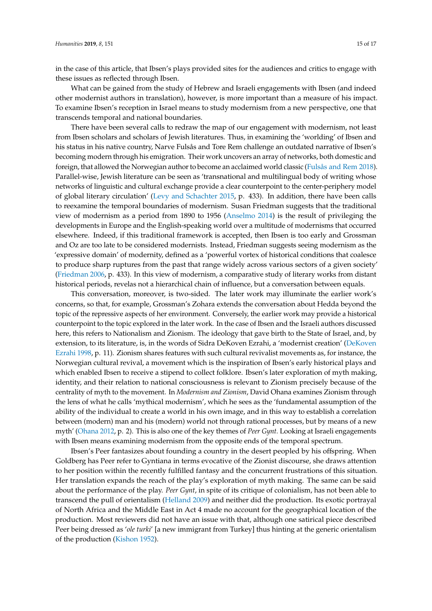in the case of this article, that Ibsen's plays provided sites for the audiences and critics to engage with these issues as reflected through Ibsen.

What can be gained from the study of Hebrew and Israeli engagements with Ibsen (and indeed other modernist authors in translation), however, is more important than a measure of his impact. To examine Ibsen's reception in Israel means to study modernism from a new perspective, one that transcends temporal and national boundaries.

There have been several calls to redraw the map of our engagement with modernism, not least from Ibsen scholars and scholars of Jewish literatures. Thus, in examining the 'worlding' of Ibsen and his status in his native country, Narve Fulsås and Tore Rem challenge an outdated narrative of Ibsen's becoming modern through his emigration. Their work uncovers an array of networks, both domestic and foreign, that allowed the Norwegian author to become an acclaimed world classic [\(Fulsås and Rem](#page-17-28) [2018\)](#page-17-28). Parallel-wise, Jewish literature can be seen as 'transnational and multilingual body of writing whose networks of linguistic and cultural exchange provide a clear counterpoint to the center-periphery model of global literary circulation' [\(Levy and Schachter](#page-17-29) [2015,](#page-17-29) p. 433). In addition, there have been calls to reexamine the temporal boundaries of modernism. Susan Friedman suggests that the traditional view of modernism as a period from 1890 to 1956 [\(Anselmo](#page-16-12) [2014\)](#page-16-12) is the result of privileging the developments in Europe and the English-speaking world over a multitude of modernisms that occurred elsewhere. Indeed, if this traditional framework is accepted, then Ibsen is too early and Grossman and Oz are too late to be considered modernists. Instead, Friedman suggests seeing modernism as the 'expressive domain' of modernity, defined as a 'powerful vortex of historical conditions that coalesce to produce sharp ruptures from the past that range widely across various sectors of a given society' [\(Friedman](#page-16-13) [2006,](#page-16-13) p. 433). In this view of modernism, a comparative study of literary works from distant historical periods, revelas not a hierarchical chain of influence, but a conversation between equals.

This conversation, moreover, is two-sided. The later work may illuminate the earlier work's concerns, so that, for example, Grossman's Zohara extends the conversation about Hedda beyond the topic of the repressive aspects of her environment. Conversely, the earlier work may provide a historical counterpoint to the topic explored in the later work. In the case of Ibsen and the Israeli authors discussed here, this refers to Nationalism and Zionism. The ideology that gave birth to the State of Israel, and, by extension, to its literature, is, in the words of Sidra DeKoven Ezrahi, a 'modernist creation' [\(DeKoven](#page-16-14) [Ezrahi](#page-16-14) [1998,](#page-16-14) p. 11). Zionism shares features with such cultural revivalist movements as, for instance, the Norwegian cultural revival, a movement which is the inspiration of Ibsen's early historical plays and which enabled Ibsen to receive a stipend to collect folklore. Ibsen's later exploration of myth making, identity, and their relation to national consciousness is relevant to Zionism precisely because of the centrality of myth to the movement. In *Modernism and Zionism*, David Ohana examines Zionism through the lens of what he calls 'mythical modernism', which he sees as the 'fundamental assumption of the ability of the individual to create a world in his own image, and in this way to establish a correlation between (modern) man and his (modern) world not through rational processes, but by means of a new myth' [\(Ohana](#page-17-30) [2012,](#page-17-30) p. 2). This is also one of the key themes of *Peer Gynt.* Looking at Israeli engagements with Ibsen means examining modernism from the opposite ends of the temporal spectrum.

Ibsen's Peer fantasizes about founding a country in the desert peopled by his offspring. When Goldberg has Peer refer to Gyntiana in terms evocative of the Zionist discourse, she draws attention to her position within the recently fulfilled fantasy and the concurrent frustrations of this situation. Her translation expands the reach of the play's exploration of myth making. The same can be said about the performance of the play. *Peer Gynt*, in spite of its critique of colonialism, has not been able to transcend the pull of orientalism [\(Helland](#page-17-31) [2009\)](#page-17-31) and neither did the production. Its exotic portrayal of North Africa and the Middle East in Act 4 made no account for the geographical location of the production. Most reviewers did not have an issue with that, although one satirical piece described Peer being dressed as '*ole turki*' [a new immigrant from Turkey] thus hinting at the generic orientalism of the production [\(Kishon](#page-17-15) [1952\)](#page-17-15).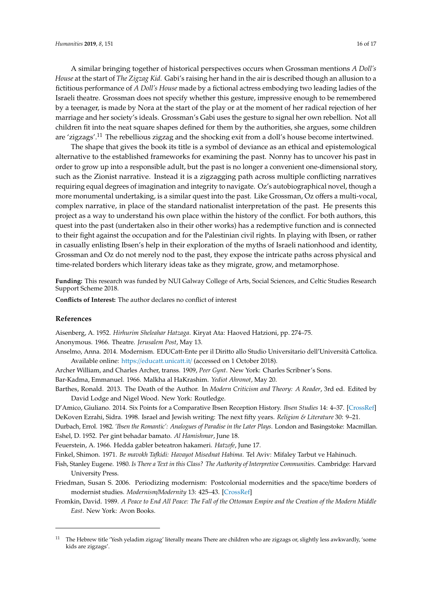A similar bringing together of historical perspectives occurs when Grossman mentions *A Doll's House* at the start of *The Zigzag Kid.* Gabi's raising her hand in the air is described though an allusion to a fictitious performance of *A Doll's House* made by a fictional actress embodying two leading ladies of the Israeli theatre. Grossman does not specify whether this gesture, impressive enough to be remembered by a teenager, is made by Nora at the start of the play or at the moment of her radical rejection of her marriage and her society's ideals. Grossman's Gabi uses the gesture to signal her own rebellion. Not all children fit into the neat square shapes defined for them by the authorities, she argues, some children are 'zigzags'.<sup>11</sup> The rebellious zigzag and the shocking exit from a doll's house become intertwined.

The shape that gives the book its title is a symbol of deviance as an ethical and epistemological alternative to the established frameworks for examining the past. Nonny has to uncover his past in order to grow up into a responsible adult, but the past is no longer a convenient one-dimensional story, such as the Zionist narrative. Instead it is a zigzagging path across multiple conflicting narratives requiring equal degrees of imagination and integrity to navigate. Oz's autobiographical novel, though a more monumental undertaking, is a similar quest into the past. Like Grossman, Oz offers a multi-vocal, complex narrative, in place of the standard nationalist interpretation of the past. He presents this project as a way to understand his own place within the history of the conflict. For both authors, this quest into the past (undertaken also in their other works) has a redemptive function and is connected to their fight against the occupation and for the Palestinian civil rights. In playing with Ibsen, or rather in casually enlisting Ibsen's help in their exploration of the myths of Israeli nationhood and identity, Grossman and Oz do not merely nod to the past, they expose the intricate paths across physical and time-related borders which literary ideas take as they migrate, grow, and metamorphose.

**Funding:** This research was funded by NUI Galway College of Arts, Social Sciences, and Celtic Studies Research Support Scheme 2018.

**Conflicts of Interest:** The author declares no conflict of interest

### **References**

<span id="page-16-7"></span>Aisenberg, A. 1952. *Hirhurim Sheleahar Hatzaga*. Kiryat Ata: Haoved Hatzioni, pp. 274–75.

<span id="page-16-11"></span>Anonymous. 1966. Theatre. *Jerusalem Post*, May 13.

<span id="page-16-12"></span>Anselmo, Anna. 2014. Modernism. EDUCatt-Ente per il Diritto allo Studio Universitario dell'Università Cattolica. Available online: https://[educatt.unicatt.it](https://educatt.unicatt.it/)/ (accessed on 1 October 2018).

<span id="page-16-9"></span><span id="page-16-3"></span>Archer William, and Charles Archer, transs. 1909, *Peer Gynt*. New York: Charles Scribner's Sons.

<span id="page-16-2"></span>Bar-Kadma, Emmanuel. 1966. Malkha al HaKrashim. *Yediot Ahronot*, May 20.

- Barthes, Ronald. 2013. The Death of the Author. In *Modern Criticism and Theory: A Reader*, 3rd ed. Edited by David Lodge and Nigel Wood. New York: Routledge.
- <span id="page-16-14"></span><span id="page-16-0"></span>D'Amico, Giuliano. 2014. Six Points for a Comparative Ibsen Reception History. *Ibsen Studies* 14: 4–37. [\[CrossRef\]](http://dx.doi.org/10.1080/15021866.2014.937151) DeKoven Ezrahi, Sidra. 1998. Israel and Jewish writing: The next fifty years. *Religion & Literature* 30: 9–21.

<span id="page-16-8"></span><span id="page-16-5"></span>Durbach, Errol. 1982. *'Ibsen the Romantic': Analogues of Paradise in the Later Plays*. London and Basingstoke: Macmillan. Eshel, D. 1952. Per gint behadar bamato. *Al Hamishmar*, June 18.

<span id="page-16-10"></span><span id="page-16-6"></span>Feuerstein, A. 1966. Hedda gabler beteatron hakameri. *Hatzofe*, June 17.

Finkel, Shimon. 1971. *Be mavokh Tafkidi: Havayot Misednat Habima*. Tel Aviv: Mifaley Tarbut ve Hahinuch.

- <span id="page-16-1"></span>Fish, Stanley Eugene. 1980. *Is There a Text in this Class? The Authority of Interpretive Communities*. Cambridge: Harvard University Press.
- <span id="page-16-13"></span>Friedman, Susan S. 2006. Periodizing modernism: Postcolonial modernities and the space/time borders of modernist studies. *Modernism*/*Modernity* 13: 425–43. [\[CrossRef\]](http://dx.doi.org/10.1353/mod.2006.0059)
- <span id="page-16-4"></span>Fromkin, David. 1989. *A Peace to End All Peace: The Fall of the Ottoman Empire and the Creation of the Modern Middle East*. New York: Avon Books.

 $11$  The Hebrew title 'Yesh yeladim zigzag' literally means There are children who are zigzags or, slightly less awkwardly, 'some kids are zigzags'.